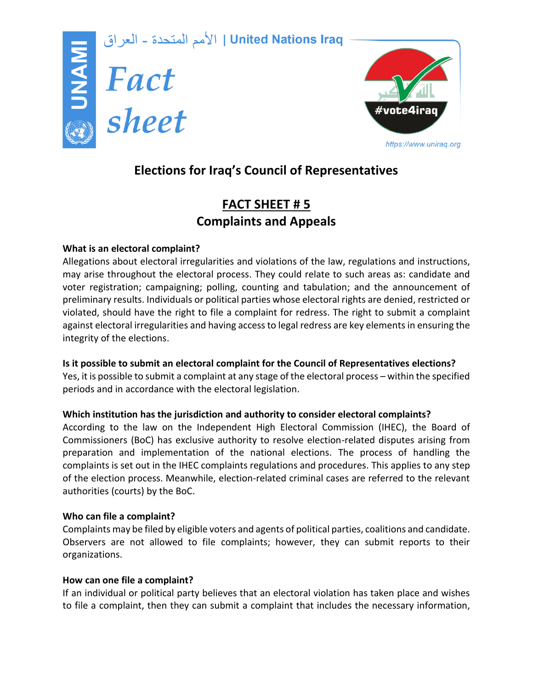



# **Elections for Iraq's Council of Representatives**

# **FACT SHEET # 5 Complaints and Appeals**

## **What is an electoral complaint?**

Allegations about electoral irregularities and violations of the law, regulations and instructions, may arise throughout the electoral process. They could relate to such areas as: candidate and voter registration; campaigning; polling, counting and tabulation; and the announcement of preliminary results. Individuals or political parties whose electoral rights are denied, restricted or violated, should have the right to file a complaint for redress. The right to submit a complaint against electoral irregularities and having access to legal redress are key elements in ensuring the integrity of the elections.

## **Is it possible to submit an electoral complaint for the Council of Representatives elections?**

Yes, it is possible to submit a complaint at any stage of the electoral process – within the specified periods and in accordance with the electoral legislation.

# **Which institution has the jurisdiction and authority to consider electoral complaints?**

According to the law on the Independent High Electoral Commission (IHEC), the Board of Commissioners (BoC) has exclusive authority to resolve election-related disputes arising from preparation and implementation of the national elections. The process of handling the complaints is set out in the IHEC complaints regulations and procedures. This applies to any step of the election process. Meanwhile, election-related criminal cases are referred to the relevant authorities (courts) by the BoC.

## **Who can file a complaint?**

Complaints may be filed by eligible voters and agents of political parties, coalitions and candidate. Observers are not allowed to file complaints; however, they can submit reports to their organizations.

## **How can one file a complaint?**

If an individual or political party believes that an electoral violation has taken place and wishes to file a complaint, then they can submit a complaint that includes the necessary information,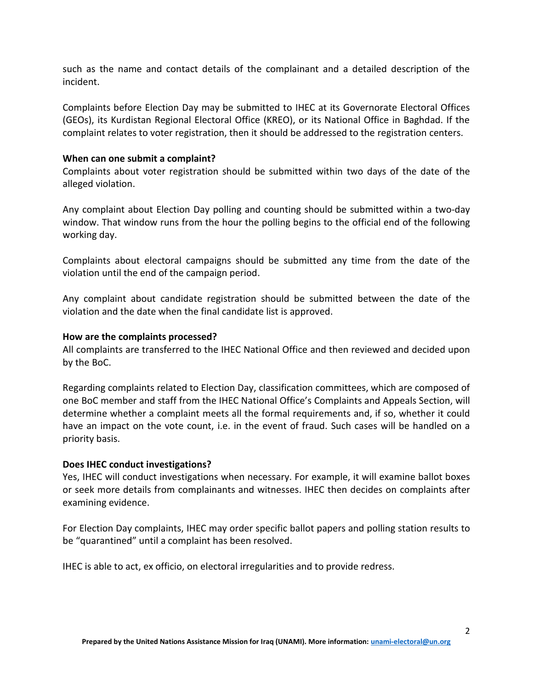such as the name and contact details of the complainant and a detailed description of the incident.

Complaints before Election Day may be submitted to IHEC at its Governorate Electoral Offices (GEOs), its Kurdistan Regional Electoral Office (KREO), or its National Office in Baghdad. If the complaint relates to voter registration, then it should be addressed to the registration centers.

#### **When can one submit a complaint?**

Complaints about voter registration should be submitted within two days of the date of the alleged violation.

Any complaint about Election Day polling and counting should be submitted within a two-day window. That window runs from the hour the polling begins to the official end of the following working day.

Complaints about electoral campaigns should be submitted any time from the date of the violation until the end of the campaign period.

Any complaint about candidate registration should be submitted between the date of the violation and the date when the final candidate list is approved.

#### **How are the complaints processed?**

All complaints are transferred to the IHEC National Office and then reviewed and decided upon by the BoC.

Regarding complaints related to Election Day, classification committees, which are composed of one BoC member and staff from the IHEC National Office's Complaints and Appeals Section, will determine whether a complaint meets all the formal requirements and, if so, whether it could have an impact on the vote count, i.e. in the event of fraud. Such cases will be handled on a priority basis.

#### **Does IHEC conduct investigations?**

Yes, IHEC will conduct investigations when necessary. For example, it will examine ballot boxes or seek more details from complainants and witnesses. IHEC then decides on complaints after examining evidence.

For Election Day complaints, IHEC may order specific ballot papers and polling station results to be "quarantined" until a complaint has been resolved.

IHEC is able to act, ex officio, on electoral irregularities and to provide redress.